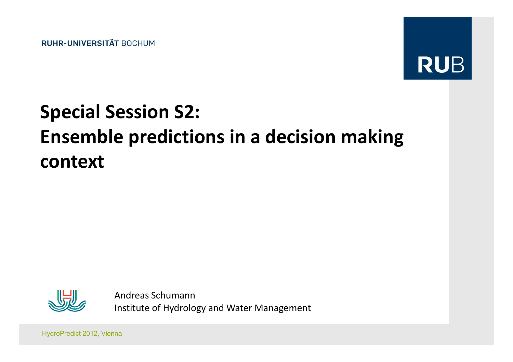**RUHR-UNIVERSITÄT BOCHUM** 



# Special Session S2:Ensemble predictions in a decision making context



Andreas SchumannInstitute of Hydrology and Water Management

HydroPredict 2012, Vienna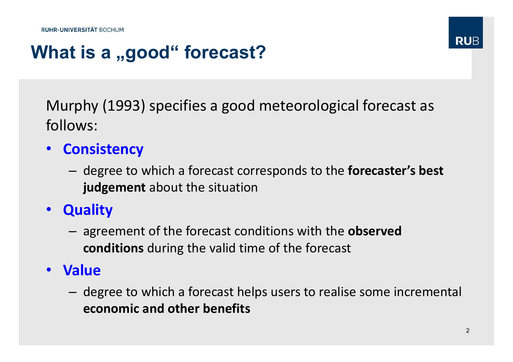# What is a "good" forecast?

Murphy (1993) specifies a good meteorological forecast as follows:

- Consistency
	- –- degree to which a forecast corresponds to the **forecaster's best** judgement about the situation
- Quality
	- –- agreement of the forecast conditions with the **observed** conditions during the valid time of the forecast
- Value
	- –- degree to which a forecast helps users to realise some incremental economic and other benefits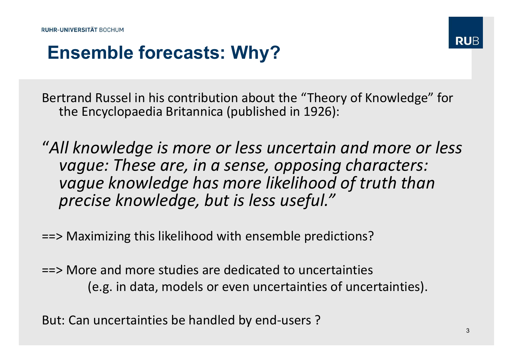## Ensemble forecasts: Why?

Bertrand Russel in his contribution about the "Theory of Knowledge" for the Encyclopaedia Britannica (published in 1926):

"All knowledge is more or less uncertain and more or less vague: These are, in a sense, opposing characters: vague knowledge has more likelihood of truth than precise knowledge, but is less useful."

==> Maximizing this likelihood with ensemble predictions?

==> More and more studies are dedicated to uncertainties (e.g. in data, models or even uncertainties of uncertainties).

But: Can uncertainties be handled by end-users ?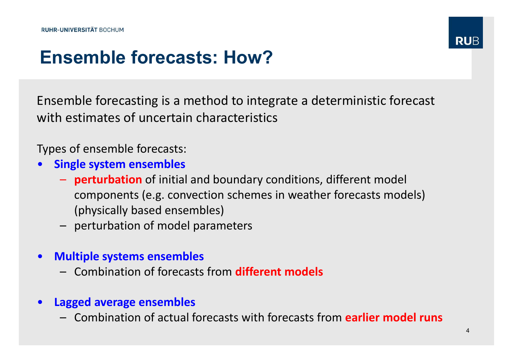# Ensemble forecasts: How?

Ensemble forecasting is a method to integrate a deterministic forecast with estimates of uncertain characteristics

Types of ensemble forecasts:

- $\bullet$  Single system ensembles
	- **perturbation** of initial and boundary conditions, different model components (e.g. convection schemes in weather forecasts models) (physically based ensembles)
	- perturbation of model parameters
- $\bullet$  Multiple systems ensembles
	- Combination of forecasts from **different models**
- $\bullet$  Lagged average ensembles
	- $-$  Combination of actual forecasts with forecasts from **earlier model runs**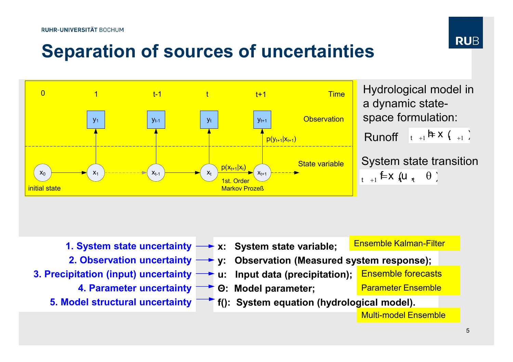

# Separation of sources of uncertainties



 <sup>y</sup> <sup>t</sup> <sup>1</sup> <sup>1</sup> <sup>=</sup><sup>h</sup> <sup>x</sup> (<sup>t</sup> )Runoff Hydrological model in a dynamic statespace formulation:

> $_{t_{+1}}$  f x  $\left\{ u_{\tau_{t}} \quad \theta \right\}$ System state transition

- x: System state variable; 1. System state uncertainty
- 
- 3. Precipitation (input) uncertainty  $\longrightarrow$  u: Input data (precipitation);
	- 4. Parameter uncertainty **DET O: Model parameter**;
	-

Ensemble Kalman-Filter

- 2. Observation uncertainty **external exercits on the System System response**);
	- Ensemble forecasts
	-

Parameter Ensemble

5. Model structural uncertainty **Fi**f(): System equation (hydrological model).

Multi-model Ensemble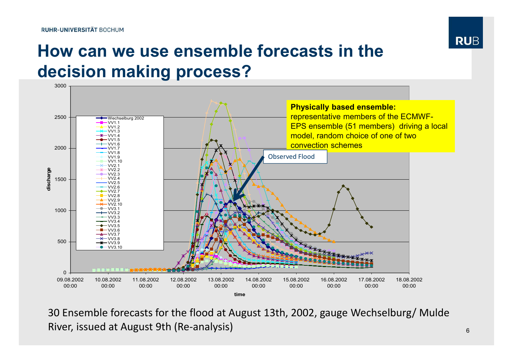

### How can we use ensemble forecasts in the decision making process?



30 Ensemble forecasts for the flood at August 13th, 2002, gauge Wechselburg/ Mulde River, issued at August 9th (Re-analysis)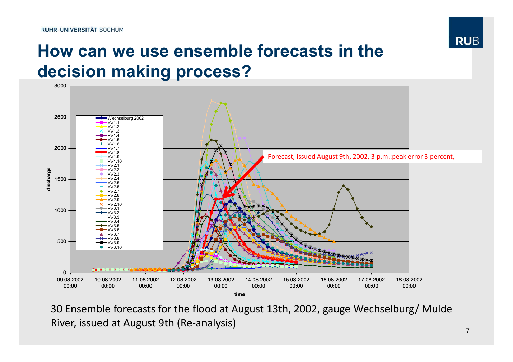

### How can we use ensemble forecasts in the decision making process?



30 Ensemble forecasts for the flood at August 13th, 2002, gauge Wechselburg/ Mulde River, issued at August 9th (Re-analysis)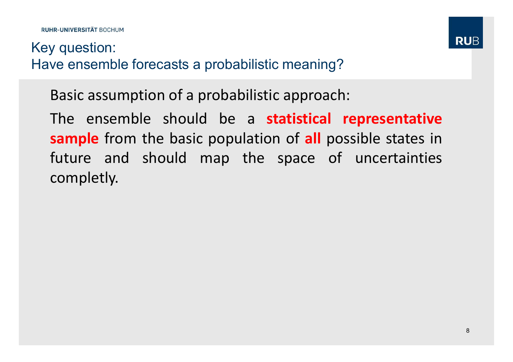#### Key question:Have ensemble forecasts a probabilistic meaning?

Basic assumption of <sup>a</sup> probabilistic approach:

The ensemble should be a statistical representative sample from the basic population of all possible states in future and should map the space of uncertainties completly.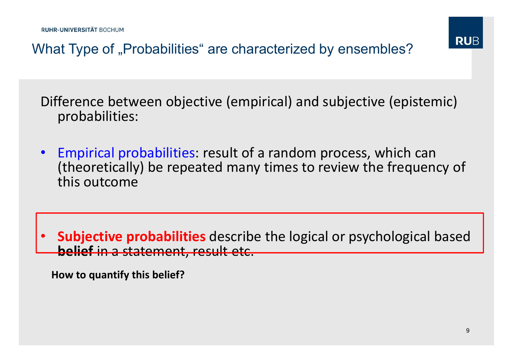

What Type of "Probabilities" are characterized by ensembles?

Difference between objective (empirical) and subjective (epistemic) probabilities:

• Empirical probabilities: result of a random process, which can (theoretically) be repeated many times to review the frequency of this outcome

•• Subjective probabilities describe the logical or psychological based **belief** in a statement, result etc.

How to quantify this belief?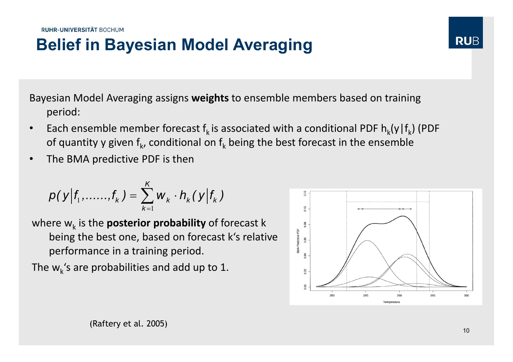### Belief in Bayesian Model Averaging

Bayesian Model Averaging assigns **weights** to ensemble members based on training period:

- •Each ensemble member forecast  $f_k$  is associated with a conditional PDF  $h_k(y|f_k)$  (PDF of quantity y given  $\mathsf{f}_{\mathsf{k}}$ , conditional on  $\mathsf{f}_{\mathsf{k}}$  being the best forecast in the ensemble
- •The BMA predictive PDF is then

$$
p(y|f_1, \ldots, f_k) = \sum_{k=1}^K w_k \cdot h_k(y|f_k)
$$

where  $w_k$  is the **posterior probability** of forecast k being the best one, based on forecast k's relative performance in a training period.

The  $w_k$ 's are probabilities and add up to 1.



**RUB**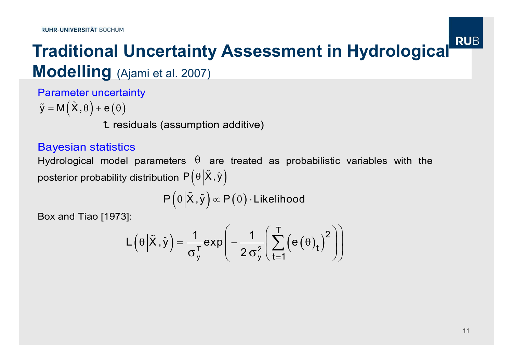# **Traditional Uncertainty Assessment in Hydrological RUB Modelling** (Ajami et al. 2007)

Parameter uncertainty

 $\tilde{y} = M(\tilde{X}, \theta) + e(\theta)$ 

**L** residuals (assumption additive)

#### Bayesian statistics

Hydrological model parameters  $\theta$  are treated as probabilistic variables with the posterior probability distribution  $\mathsf{P}\!\left(\theta \middle| \tilde{\mathsf{X}}\,, \tilde{\mathsf{y}}\right)$ 

 $\mathsf{P}\Big(\theta\Big|\tilde{\mathsf{X}}\,,\tilde{\mathsf{y}}\Big)\!\propto\mathsf{P}\big(\theta\big)\!\cdot\!\mathsf{Likelihood}$ 

Box and Tiao [1973]:

$$
L(\theta | \tilde{X}, \tilde{y}) = \frac{1}{\sigma_y^T} exp\left(-\frac{1}{2 \sigma_y^2} \left(\sum_{t=1}^T \left(e(\theta)_t\right)^2\right)\right)
$$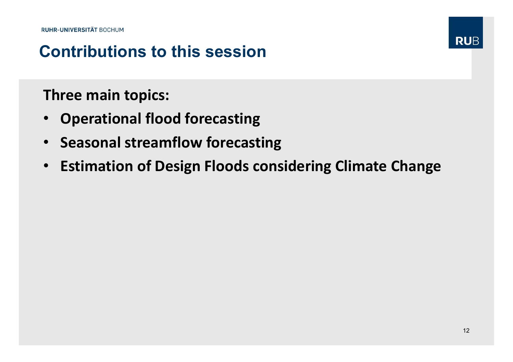### Contributions to this session

#### Three main topics:

- $\bullet$ Operational flood forecasting
- Seasonal streamflow forecasting
- Estimation of Design Floods considering Climate Change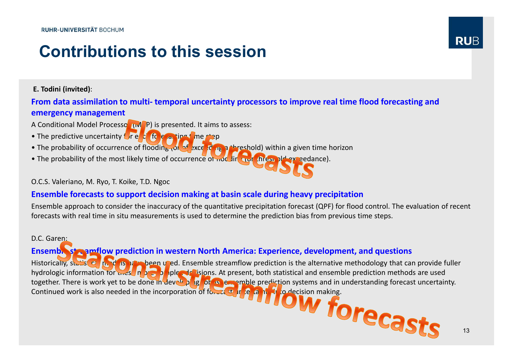#### Contributions to this session

E. Todini (invited):

#### From data assimilation to multi- temporal uncertainty processors to improve real time flood forecasting andemergency management

- A Conditional Model Processor (MCP) is presented. It aims to assess:
- The predictive uncertainty for each forecasting time step
- The probability of occurrence of flooding (or of exceeding a threshold) within a given time horizon
- The probability of the most likely time of occurrence of noc ling the flood of exceedance).

#### O.C.S. Valeriano, M. Ryo, T. Koike, T.D. Ngoc

#### Ensemble forecasts to support decision making at basin scale during heavy precipitation

 Ensemble approach to consider the inaccuracy of the quantitative precipitation forecast (QPF) for flood control. The evaluation of recent forecasts with real time in situ measurements is used to determine the prediction bias from previous time steps.

#### D.C. Garen:

#### Ensemble streamflow prediction in western North America: Experience, development, and questions

Historically, statistical models have been used. Ensemble streamflow prediction is the alternative methodology that can provide fuller hydrologic information for these in by a plane, delisions. At present, both statistical and ensemble prediction methods are used<br>together. There is work yet to be done in developing for is ememble prediction systems and in Continued work is also needed in the incorporation of forecast uncertainty in to decision making.